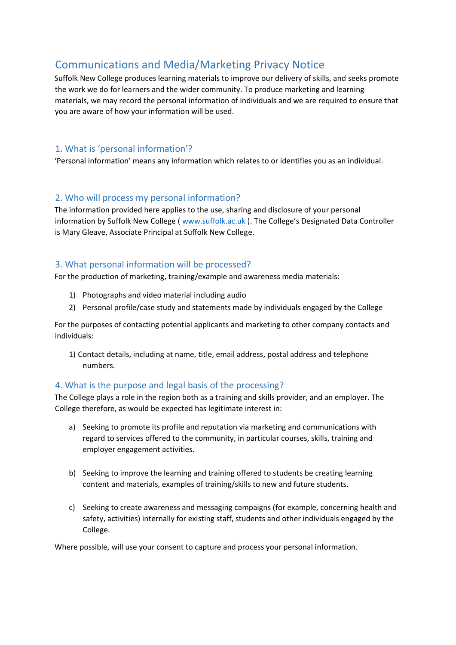# Communications and Media/Marketing Privacy Notice

Suffolk New College produces learning materials to improve our delivery of skills, and seeks promote the work we do for learners and the wider community. To produce marketing and learning materials, we may record the personal information of individuals and we are required to ensure that you are aware of how your information will be used.

# 1. What is 'personal information'?

'Personal information' means any information which relates to or identifies you as an individual.

## 2. Who will process my personal information?

The information provided here applies to the use, sharing and disclosure of your personal information by Suffolk New College ( [www.suffolk.ac.uk](http://www.suffolk.ac.uk/) [\)](http://www.suffolk.ac.uk/). The College's Designated Data Controller is Mary Gleave, Associate Principal at Suffolk New College.

# 3. What personal information will be processed?

For the production of marketing, training/example and awareness media materials:

- 1) Photographs and video material including audio
- 2) Personal profile/case study and statements made by individuals engaged by the College

For the purposes of contacting potential applicants and marketing to other company contacts and individuals:

1) Contact details, including at name, title, email address, postal address and telephone numbers.

## 4. What is the purpose and legal basis of the processing?

The College plays a role in the region both as a training and skills provider, and an employer. The College therefore, as would be expected has legitimate interest in:

- a) Seeking to promote its profile and reputation via marketing and communications with regard to services offered to the community, in particular courses, skills, training and employer engagement activities.
- b) Seeking to improve the learning and training offered to students be creating learning content and materials, examples of training/skills to new and future students.
- c) Seeking to create awareness and messaging campaigns (for example, concerning health and safety, activities) internally for existing staff, students and other individuals engaged by the College.

Where possible, will use your consent to capture and process your personal information.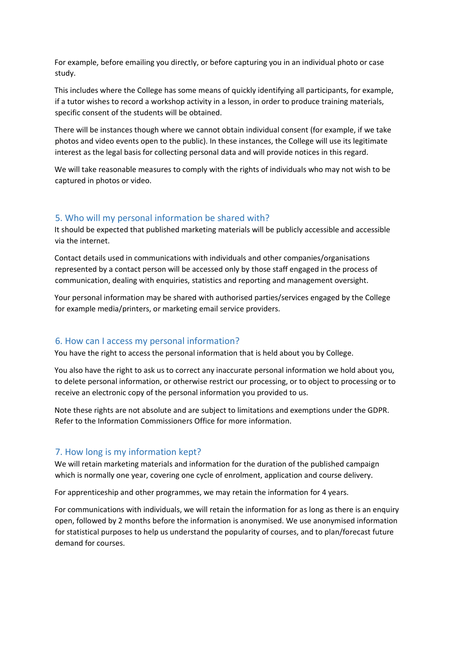For example, before emailing you directly, or before capturing you in an individual photo or case study.

This includes where the College has some means of quickly identifying all participants, for example, if a tutor wishes to record a workshop activity in a lesson, in order to produce training materials, specific consent of the students will be obtained.

There will be instances though where we cannot obtain individual consent (for example, if we take photos and video events open to the public). In these instances, the College will use its legitimate interest as the legal basis for collecting personal data and will provide notices in this regard.

We will take reasonable measures to comply with the rights of individuals who may not wish to be captured in photos or video.

#### 5. Who will my personal information be shared with?

It should be expected that published marketing materials will be publicly accessible and accessible via the internet.

Contact details used in communications with individuals and other companies/organisations represented by a contact person will be accessed only by those staff engaged in the process of communication, dealing with enquiries, statistics and reporting and management oversight.

Your personal information may be shared with authorised parties/services engaged by the College for example media/printers, or marketing email service providers.

#### 6. How can I access my personal information?

You have the right to access the personal information that is held about you by College.

You also have the right to ask us to correct any inaccurate personal information we hold about you, to delete personal information, or otherwise restrict our processing, or to object to processing or to receive an electronic copy of the personal information you provided to us.

Note these rights are not absolute and are subject to limitations and exemptions under the GDPR. Refer to the Information Commissioners Office for more information.

#### 7. How long is my information kept?

We will retain marketing materials and information for the duration of the published campaign which is normally one year, covering one cycle of enrolment, application and course delivery.

For apprenticeship and other programmes, we may retain the information for 4 years.

For communications with individuals, we will retain the information for as long as there is an enquiry open, followed by 2 months before the information is anonymised. We use anonymised information for statistical purposes to help us understand the popularity of courses, and to plan/forecast future demand for courses.